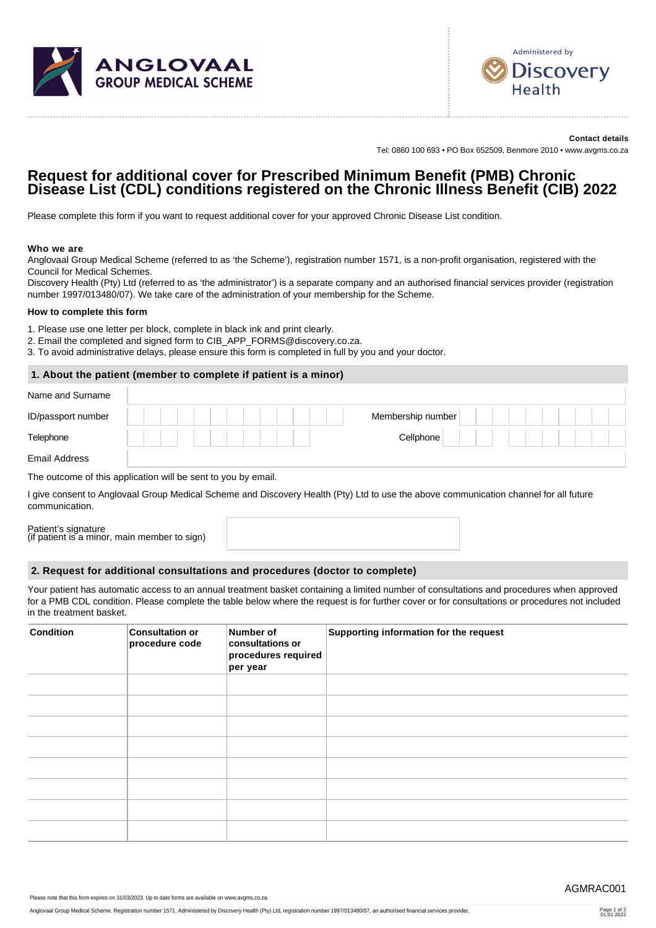



**Contact details** Tel: 0860 100 693 • PO Box 652509, Benmore 2010 • www.avgms.co.za

# **Request for additional cover for Prescribed Minimum Benefit (PMB) Chronic Disease List (CDL) conditions registered on the Chronic Illness Benefit (CIB) 2022**

Please complete this form if you want to request additional cover for your approved Chronic Disease List condition.

### **Who we are**

Anglovaal Group Medical Scheme (referred to as 'the Scheme'), registration number 1571, is a non-profit organisation, registered with the Council for Medical Schemes.

Discovery Health (Pty) Ltd (referred to as 'the administrator') is a separate company and an authorised financial services provider (registration number 1997/013480/07). We take care of the administration of your membership for the Scheme.

#### **How to complete this form**

- 1. Please use one letter per block, complete in black ink and print clearly.
- 2. Email the completed and signed form to CIB\_APP\_FORMS@discovery.co.za.
- 3. To avoid administrative delays, please ensure this form is completed in full by you and your doctor.

## **1. About the patient (member to complete if patient is a minor)**

| Name and Surname     |  |  |  |                   |  |  |  |
|----------------------|--|--|--|-------------------|--|--|--|
| ID/passport number   |  |  |  | Membership number |  |  |  |
| Telephone            |  |  |  | Cellphone         |  |  |  |
| <b>Email Address</b> |  |  |  |                   |  |  |  |

The outcome of this application will be sent to you by email.

I give consent to Anglovaal Group Medical Scheme and Discovery Health (Pty) Ltd to use the above communication channel for all future communication.

Patient's signature (if patient is a minor, main member to sign)

#### **2. Request for additional consultations and procedures (doctor to complete)**

Your patient has automatic access to an annual treatment basket containing a limited number of consultations and procedures when approved for a PMB CDL condition. Please complete the table below where the request is for further cover or for consultations or procedures not included in the treatment basket.

| <b>Condition</b> | <b>Consultation or</b><br>procedure code | Number of<br>consultations or<br>procedures required<br>per year | Supporting information for the request |
|------------------|------------------------------------------|------------------------------------------------------------------|----------------------------------------|
|                  |                                          |                                                                  |                                        |
|                  |                                          |                                                                  |                                        |
|                  |                                          |                                                                  |                                        |
|                  |                                          |                                                                  |                                        |
|                  |                                          |                                                                  |                                        |
|                  |                                          |                                                                  |                                        |
|                  |                                          |                                                                  |                                        |
|                  |                                          |                                                                  |                                        |

Please note that this form expires on 31/03/2023. Up to date forms are available on www.avgms.co.za.